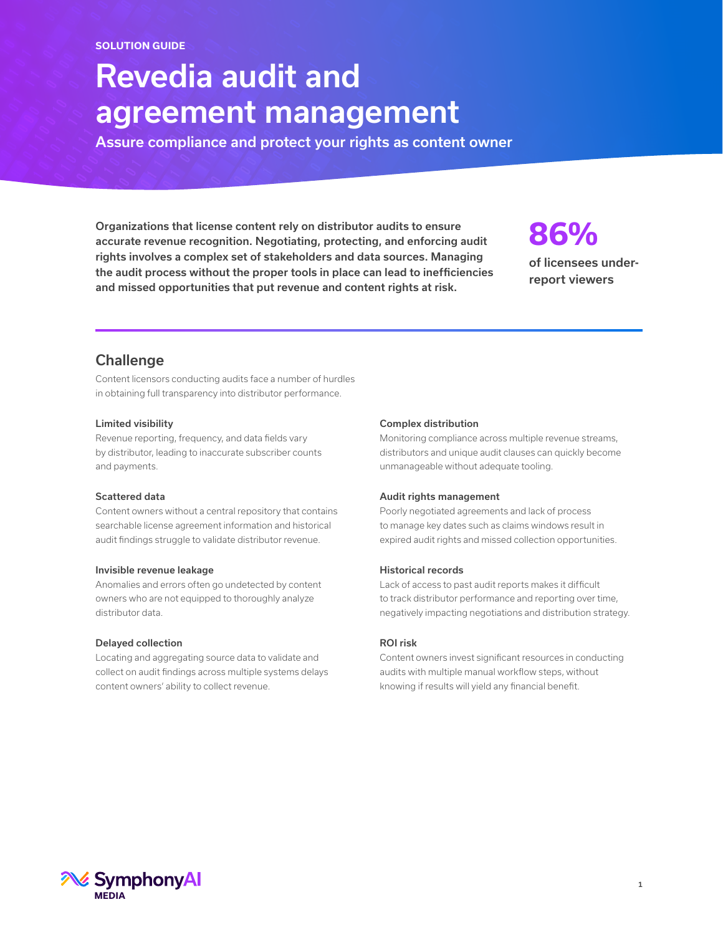# Revedia audit and agreement management

Assure compliance and protect your rights as content owner

Organizations that license content rely on distributor audits to ensure accurate revenue recognition. Negotiating, protecting, and enforcing audit rights involves a complex set of stakeholders and data sources. Managing the audit process without the proper tools in place can lead to inefficiencies and missed opportunities that put revenue and content rights at risk.

# **86%**

of licensees underreport viewers

# **Challenge**

Content licensors conducting audits face a number of hurdles in obtaining full transparency into distributor performance.

# Limited visibility

Revenue reporting, frequency, and data fields vary by distributor, leading to inaccurate subscriber counts and payments.

# Scattered data

Content owners without a central repository that contains searchable license agreement information and historical audit findings struggle to validate distributor revenue.

## Invisible revenue leakage

Anomalies and errors often go undetected by content owners who are not equipped to thoroughly analyze distributor data.

## Delayed collection

Locating and aggregating source data to validate and collect on audit findings across multiple systems delays content owners' ability to collect revenue.

## Complex distribution

Monitoring compliance across multiple revenue streams, distributors and unique audit clauses can quickly become unmanageable without adequate tooling.

## Audit rights management

Poorly negotiated agreements and lack of process to manage key dates such as claims windows result in expired audit rights and missed collection opportunities.

## Historical records

Lack of access to past audit reports makes it difficult to track distributor performance and reporting over time, negatively impacting negotiations and distribution strategy.

## ROI risk

Content owners invest significant resources in conducting audits with multiple manual workflow steps, without knowing if results will yield any financial benefit.

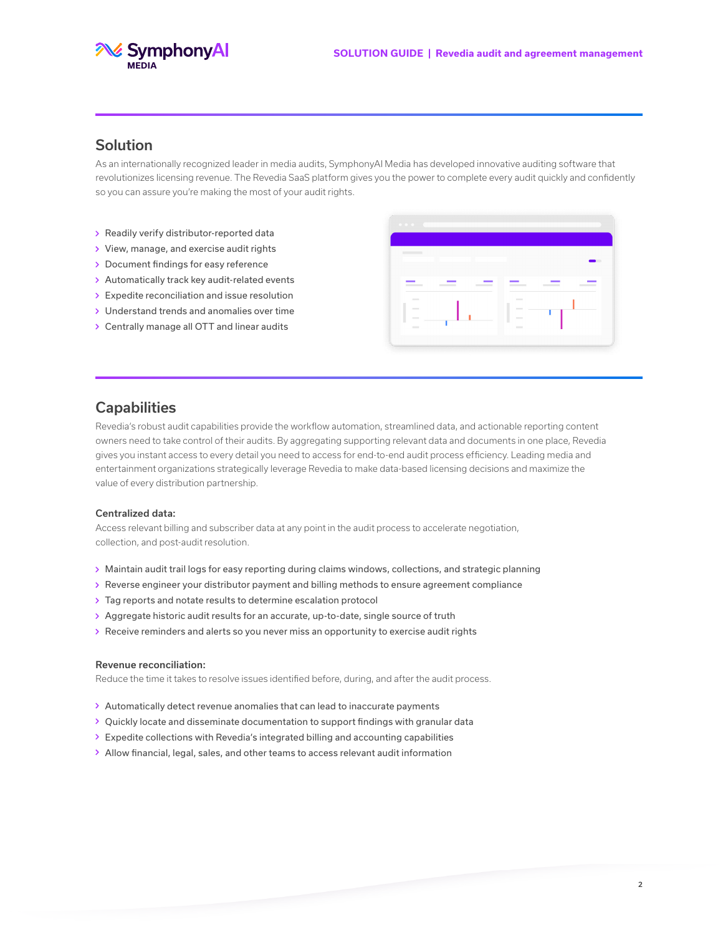



# Solution

As an internationally recognized leader in media audits, SymphonyAI Media has developed innovative auditing software that revolutionizes licensing revenue. The Revedia SaaS platform gives you the power to complete every audit quickly and confidently so you can assure you're making the most of your audit rights.

- Readily verify distributor-reported data
- View, manage, and exercise audit rights
- > Document findings for easy reference
- > Automatically track key audit-related events
- > Expedite reconciliation and issue resolution
- Understand trends and anomalies over time
- Centrally manage all OTT and linear audits



# **Capabilities**

Revedia's robust audit capabilities provide the workflow automation, streamlined data, and actionable reporting content owners need to take control of their audits. By aggregating supporting relevant data and documents in one place, Revedia gives you instant access to every detail you need to access for end-to-end audit process efficiency. Leading media and entertainment organizations strategically leverage Revedia to make data-based licensing decisions and maximize the value of every distribution partnership.

### Centralized data:

Access relevant billing and subscriber data at any point in the audit process to accelerate negotiation, collection, and post-audit resolution.

- Maintain audit trail logs for easy reporting during claims windows, collections, and strategic planning
- Reverse engineer your distributor payment and billing methods to ensure agreement compliance
- Tag reports and notate results to determine escalation protocol
- > Aggregate historic audit results for an accurate, up-to-date, single source of truth
- Receive reminders and alerts so you never miss an opportunity to exercise audit rights

#### Revenue reconciliation:

Reduce the time it takes to resolve issues identified before, during, and after the audit process.

- Automatically detect revenue anomalies that can lead to inaccurate payments
- > Quickly locate and disseminate documentation to support findings with granular data
- Expedite collections with Revedia's integrated billing and accounting capabilities
- Allow financial, legal, sales, and other teams to access relevant audit information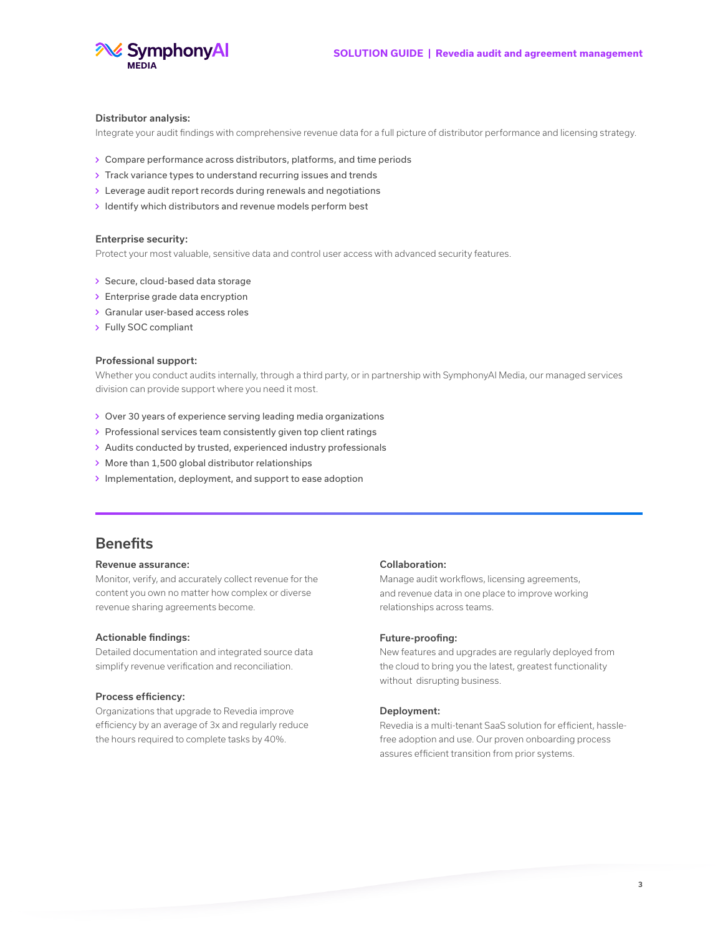

#### Distributor analysis:

Integrate your audit findings with comprehensive revenue data for a full picture of distributor performance and licensing strategy.

- Compare performance across distributors, platforms, and time periods
- > Track variance types to understand recurring issues and trends
- Leverage audit report records during renewals and negotiations
- $\rightarrow$  Identify which distributors and revenue models perform best

#### Enterprise security:

Protect your most valuable, sensitive data and control user access with advanced security features.

- > Secure, cloud-based data storage
- > Enterprise grade data encryption
- Granular user-based access roles
- Fully SOC compliant

#### Professional support:

Whether you conduct audits internally, through a third party, or in partnership with SymphonyAI Media, our managed services division can provide support where you need it most.

- > Over 30 years of experience serving leading media organizations
- > Professional services team consistently given top client ratings
- > Audits conducted by trusted, experienced industry professionals
- More than 1,500 global distributor relationships
- $\rightarrow$  Implementation, deployment, and support to ease adoption

# **Benefits**

#### Revenue assurance:

Monitor, verify, and accurately collect revenue for the content you own no matter how complex or diverse revenue sharing agreements become.

#### Actionable findings:

Detailed documentation and integrated source data simplify revenue verification and reconciliation.

#### Process efficiency:

Organizations that upgrade to Revedia improve efficiency by an average of 3x and regularly reduce the hours required to complete tasks by 40%.

#### Collaboration:

Manage audit workflows, licensing agreements, and revenue data in one place to improve working relationships across teams.

#### Future-proofing:

New features and upgrades are regularly deployed from the cloud to bring you the latest, greatest functionality without disrupting business.

#### Deployment:

Revedia is a multi-tenant SaaS solution for efficient, hasslefree adoption and use. Our proven onboarding process assures efficient transition from prior systems.